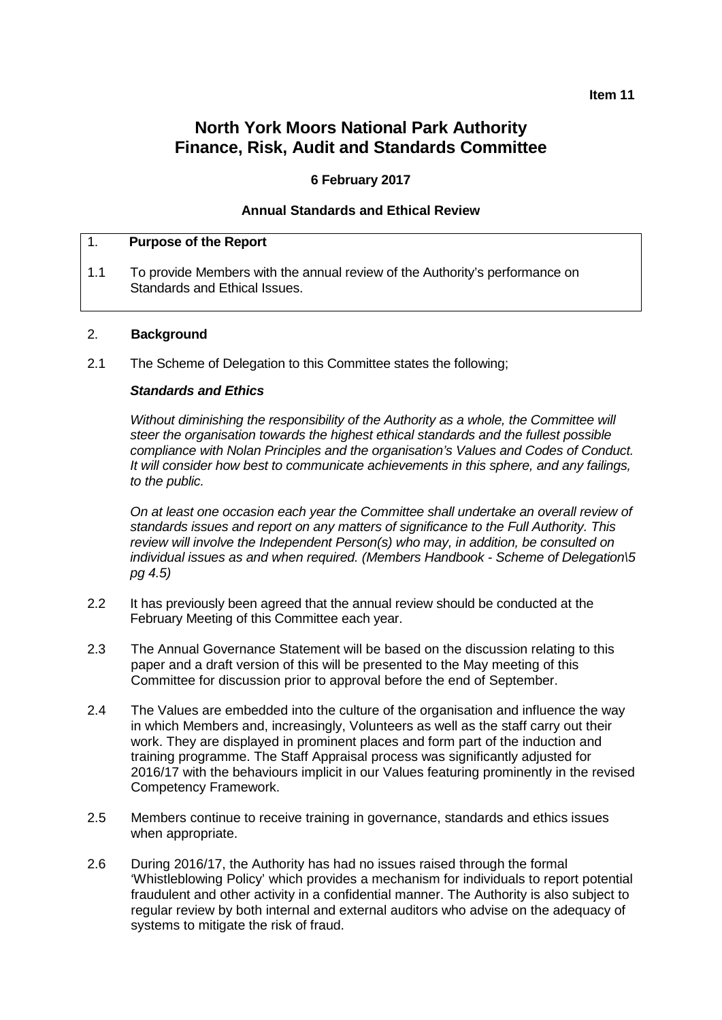#### **Item 11**

# **North York Moors National Park Authority Finance, Risk, Audit and Standards Committee**

#### **6 February 2017**

#### **Annual Standards and Ethical Review**

#### 1. **Purpose of the Report**

1.1 To provide Members with the annual review of the Authority's performance on Standards and Ethical Issues.

#### 2. **Background**

2.1 The Scheme of Delegation to this Committee states the following;

#### *Standards and Ethics*

*Without diminishing the responsibility of the Authority as a whole, the Committee will steer the organisation towards the highest ethical standards and the fullest possible compliance with Nolan Principles and the organisation's Values and Codes of Conduct. It will consider how best to communicate achievements in this sphere, and any failings, to the public.*

*On at least one occasion each year the Committee shall undertake an overall review of standards issues and report on any matters of significance to the Full Authority. This review will involve the Independent Person(s) who may, in addition, be consulted on individual issues as and when required. (Members Handbook - Scheme of Delegation\5 pg 4.5)*

- 2.2 It has previously been agreed that the annual review should be conducted at the February Meeting of this Committee each year.
- 2.3 The Annual Governance Statement will be based on the discussion relating to this paper and a draft version of this will be presented to the May meeting of this Committee for discussion prior to approval before the end of September.
- 2.4 The Values are embedded into the culture of the organisation and influence the way in which Members and, increasingly, Volunteers as well as the staff carry out their work. They are displayed in prominent places and form part of the induction and training programme. The Staff Appraisal process was significantly adjusted for 2016/17 with the behaviours implicit in our Values featuring prominently in the revised Competency Framework.
- 2.5 Members continue to receive training in governance, standards and ethics issues when appropriate.
- 2.6 During 2016/17, the Authority has had no issues raised through the formal 'Whistleblowing Policy' which provides a mechanism for individuals to report potential fraudulent and other activity in a confidential manner. The Authority is also subject to regular review by both internal and external auditors who advise on the adequacy of systems to mitigate the risk of fraud.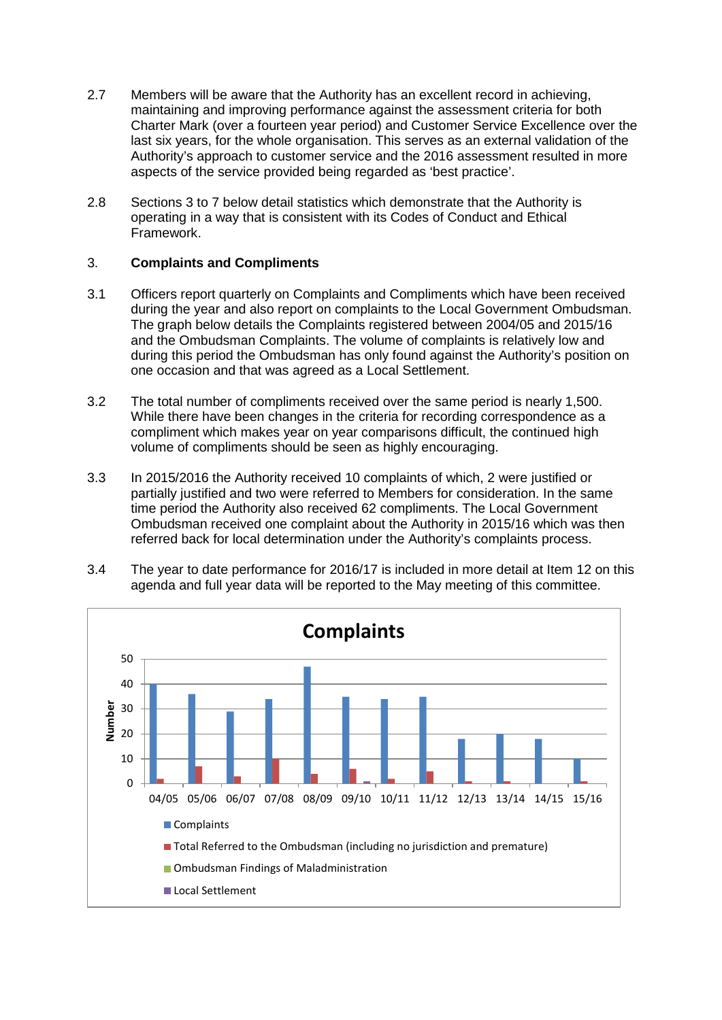- 2.7 Members will be aware that the Authority has an excellent record in achieving, maintaining and improving performance against the assessment criteria for both Charter Mark (over a fourteen year period) and Customer Service Excellence over the last six years, for the whole organisation. This serves as an external validation of the Authority's approach to customer service and the 2016 assessment resulted in more aspects of the service provided being regarded as 'best practice'.
- 2.8 Sections 3 to 7 below detail statistics which demonstrate that the Authority is operating in a way that is consistent with its Codes of Conduct and Ethical Framework.

## 3. **Complaints and Compliments**

- 3.1 Officers report quarterly on Complaints and Compliments which have been received during the year and also report on complaints to the Local Government Ombudsman. The graph below details the Complaints registered between 2004/05 and 2015/16 and the Ombudsman Complaints. The volume of complaints is relatively low and during this period the Ombudsman has only found against the Authority's position on one occasion and that was agreed as a Local Settlement.
- 3.2 The total number of compliments received over the same period is nearly 1,500. While there have been changes in the criteria for recording correspondence as a compliment which makes year on year comparisons difficult, the continued high volume of compliments should be seen as highly encouraging.
- 3.3 In 2015/2016 the Authority received 10 complaints of which, 2 were justified or partially justified and two were referred to Members for consideration. In the same time period the Authority also received 62 compliments. The Local Government Ombudsman received one complaint about the Authority in 2015/16 which was then referred back for local determination under the Authority's complaints process.



3.4 The year to date performance for 2016/17 is included in more detail at Item 12 on this agenda and full year data will be reported to the May meeting of this committee.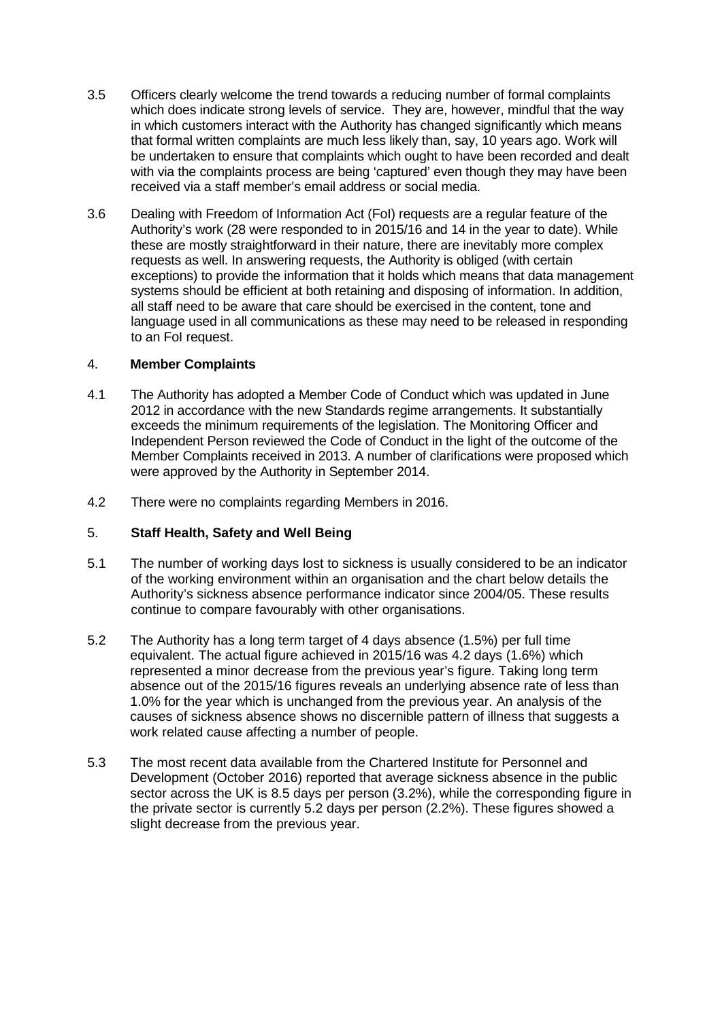- 3.5 Officers clearly welcome the trend towards a reducing number of formal complaints which does indicate strong levels of service. They are, however, mindful that the way in which customers interact with the Authority has changed significantly which means that formal written complaints are much less likely than, say, 10 years ago. Work will be undertaken to ensure that complaints which ought to have been recorded and dealt with via the complaints process are being 'captured' even though they may have been received via a staff member's email address or social media.
- 3.6 Dealing with Freedom of Information Act (FoI) requests are a regular feature of the Authority's work (28 were responded to in 2015/16 and 14 in the year to date). While these are mostly straightforward in their nature, there are inevitably more complex requests as well. In answering requests, the Authority is obliged (with certain exceptions) to provide the information that it holds which means that data management systems should be efficient at both retaining and disposing of information. In addition, all staff need to be aware that care should be exercised in the content, tone and language used in all communications as these may need to be released in responding to an FoI request.

### 4. **Member Complaints**

- 4.1 The Authority has adopted a Member Code of Conduct which was updated in June 2012 in accordance with the new Standards regime arrangements. It substantially exceeds the minimum requirements of the legislation. The Monitoring Officer and Independent Person reviewed the Code of Conduct in the light of the outcome of the Member Complaints received in 2013. A number of clarifications were proposed which were approved by the Authority in September 2014.
- 4.2 There were no complaints regarding Members in 2016.

# 5. **Staff Health, Safety and Well Being**

- 5.1 The number of working days lost to sickness is usually considered to be an indicator of the working environment within an organisation and the chart below details the Authority's sickness absence performance indicator since 2004/05. These results continue to compare favourably with other organisations.
- 5.2 The Authority has a long term target of 4 days absence (1.5%) per full time equivalent. The actual figure achieved in 2015/16 was 4.2 days (1.6%) which represented a minor decrease from the previous year's figure. Taking long term absence out of the 2015/16 figures reveals an underlying absence rate of less than 1.0% for the year which is unchanged from the previous year. An analysis of the causes of sickness absence shows no discernible pattern of illness that suggests a work related cause affecting a number of people.
- 5.3 The most recent data available from the Chartered Institute for Personnel and Development (October 2016) reported that average sickness absence in the public sector across the UK is 8.5 days per person (3.2%), while the corresponding figure in the private sector is currently 5.2 days per person (2.2%). These figures showed a slight decrease from the previous year.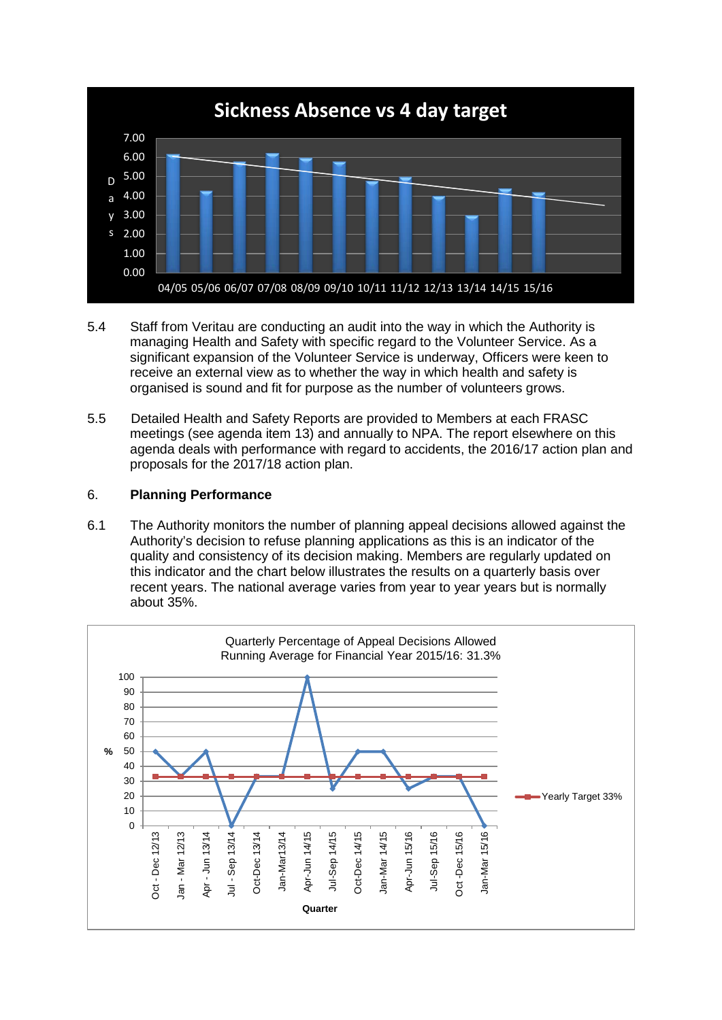

- 5.4 Staff from Veritau are conducting an audit into the way in which the Authority is managing Health and Safety with specific regard to the Volunteer Service. As a significant expansion of the Volunteer Service is underway, Officers were keen to receive an external view as to whether the way in which health and safety is organised is sound and fit for purpose as the number of volunteers grows.
- 5.5 Detailed Health and Safety Reports are provided to Members at each FRASC meetings (see agenda item 13) and annually to NPA. The report elsewhere on this agenda deals with performance with regard to accidents, the 2016/17 action plan and proposals for the 2017/18 action plan.

### 6. **Planning Performance**

6.1 The Authority monitors the number of planning appeal decisions allowed against the Authority's decision to refuse planning applications as this is an indicator of the quality and consistency of its decision making. Members are regularly updated on this indicator and the chart below illustrates the results on a quarterly basis over recent years. The national average varies from year to year years but is normally about 35%.

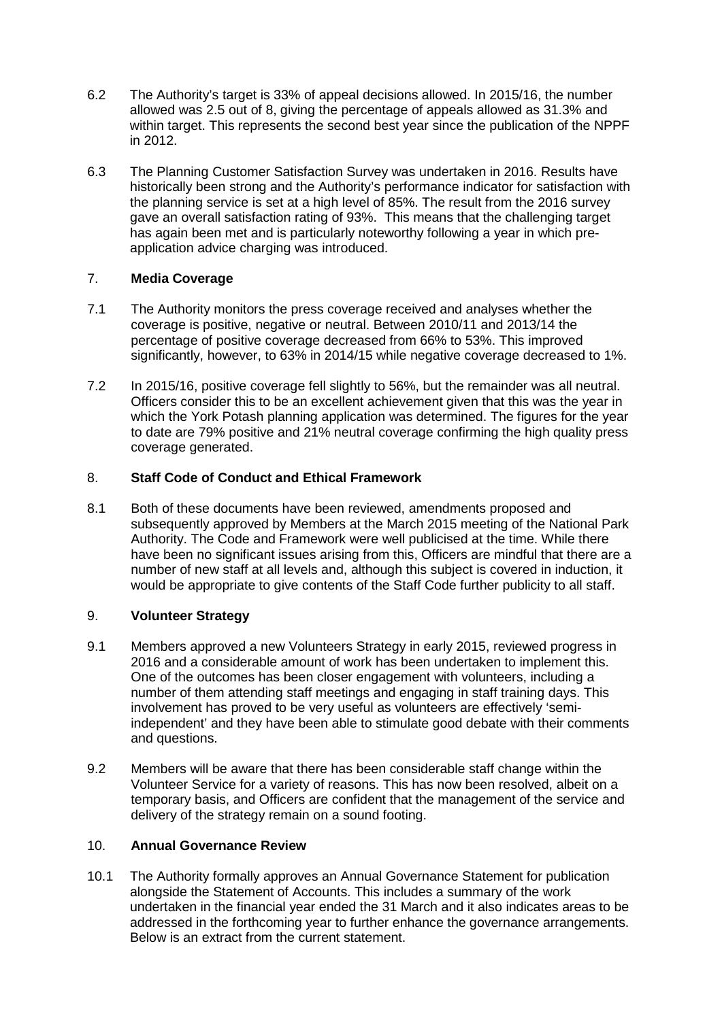- 6.2 The Authority's target is 33% of appeal decisions allowed. In 2015/16, the number allowed was 2.5 out of 8, giving the percentage of appeals allowed as 31.3% and within target. This represents the second best year since the publication of the NPPF in 2012.
- 6.3 The Planning Customer Satisfaction Survey was undertaken in 2016. Results have historically been strong and the Authority's performance indicator for satisfaction with the planning service is set at a high level of 85%. The result from the 2016 survey gave an overall satisfaction rating of 93%. This means that the challenging target has again been met and is particularly noteworthy following a year in which preapplication advice charging was introduced.

## 7. **Media Coverage**

- 7.1 The Authority monitors the press coverage received and analyses whether the coverage is positive, negative or neutral. Between 2010/11 and 2013/14 the percentage of positive coverage decreased from 66% to 53%. This improved significantly, however, to 63% in 2014/15 while negative coverage decreased to 1%.
- 7.2 In 2015/16, positive coverage fell slightly to 56%, but the remainder was all neutral. Officers consider this to be an excellent achievement given that this was the year in which the York Potash planning application was determined. The figures for the year to date are 79% positive and 21% neutral coverage confirming the high quality press coverage generated.

## 8. **Staff Code of Conduct and Ethical Framework**

8.1 Both of these documents have been reviewed, amendments proposed and subsequently approved by Members at the March 2015 meeting of the National Park Authority. The Code and Framework were well publicised at the time. While there have been no significant issues arising from this, Officers are mindful that there are a number of new staff at all levels and, although this subject is covered in induction, it would be appropriate to give contents of the Staff Code further publicity to all staff.

### 9. **Volunteer Strategy**

- 9.1 Members approved a new Volunteers Strategy in early 2015, reviewed progress in 2016 and a considerable amount of work has been undertaken to implement this. One of the outcomes has been closer engagement with volunteers, including a number of them attending staff meetings and engaging in staff training days. This involvement has proved to be very useful as volunteers are effectively 'semiindependent' and they have been able to stimulate good debate with their comments and questions.
- 9.2 Members will be aware that there has been considerable staff change within the Volunteer Service for a variety of reasons. This has now been resolved, albeit on a temporary basis, and Officers are confident that the management of the service and delivery of the strategy remain on a sound footing.

# 10. **Annual Governance Review**

10.1 The Authority formally approves an Annual Governance Statement for publication alongside the Statement of Accounts. This includes a summary of the work undertaken in the financial year ended the 31 March and it also indicates areas to be addressed in the forthcoming year to further enhance the governance arrangements. Below is an extract from the current statement.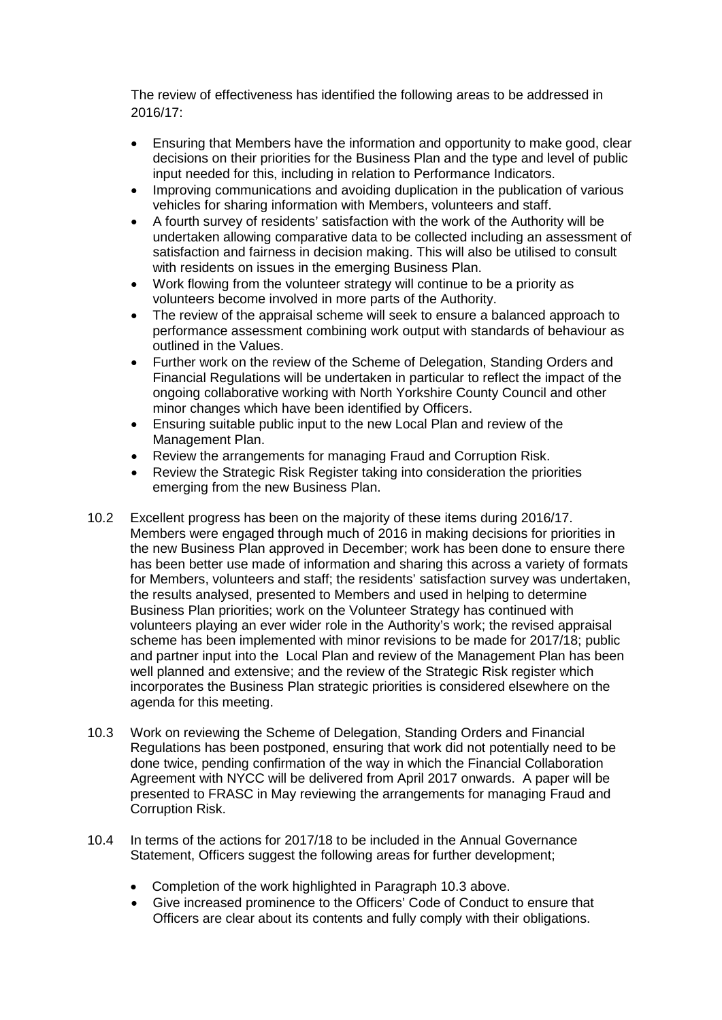The review of effectiveness has identified the following areas to be addressed in 2016/17:

- Ensuring that Members have the information and opportunity to make good, clear decisions on their priorities for the Business Plan and the type and level of public input needed for this, including in relation to Performance Indicators.
- Improving communications and avoiding duplication in the publication of various vehicles for sharing information with Members, volunteers and staff.
- A fourth survey of residents' satisfaction with the work of the Authority will be undertaken allowing comparative data to be collected including an assessment of satisfaction and fairness in decision making. This will also be utilised to consult with residents on issues in the emerging Business Plan.
- Work flowing from the volunteer strategy will continue to be a priority as volunteers become involved in more parts of the Authority.
- The review of the appraisal scheme will seek to ensure a balanced approach to performance assessment combining work output with standards of behaviour as outlined in the Values.
- Further work on the review of the Scheme of Delegation, Standing Orders and Financial Regulations will be undertaken in particular to reflect the impact of the ongoing collaborative working with North Yorkshire County Council and other minor changes which have been identified by Officers.
- Ensuring suitable public input to the new Local Plan and review of the Management Plan.
- Review the arrangements for managing Fraud and Corruption Risk.
- Review the Strategic Risk Register taking into consideration the priorities emerging from the new Business Plan.
- 10.2 Excellent progress has been on the majority of these items during 2016/17. Members were engaged through much of 2016 in making decisions for priorities in the new Business Plan approved in December; work has been done to ensure there has been better use made of information and sharing this across a variety of formats for Members, volunteers and staff; the residents' satisfaction survey was undertaken, the results analysed, presented to Members and used in helping to determine Business Plan priorities; work on the Volunteer Strategy has continued with volunteers playing an ever wider role in the Authority's work; the revised appraisal scheme has been implemented with minor revisions to be made for 2017/18; public and partner input into the Local Plan and review of the Management Plan has been well planned and extensive; and the review of the Strategic Risk register which incorporates the Business Plan strategic priorities is considered elsewhere on the agenda for this meeting.
- 10.3 Work on reviewing the Scheme of Delegation, Standing Orders and Financial Regulations has been postponed, ensuring that work did not potentially need to be done twice, pending confirmation of the way in which the Financial Collaboration Agreement with NYCC will be delivered from April 2017 onwards. A paper will be presented to FRASC in May reviewing the arrangements for managing Fraud and Corruption Risk.
- 10.4 In terms of the actions for 2017/18 to be included in the Annual Governance Statement, Officers suggest the following areas for further development;
	- Completion of the work highlighted in Paragraph 10.3 above.
	- Give increased prominence to the Officers' Code of Conduct to ensure that Officers are clear about its contents and fully comply with their obligations.